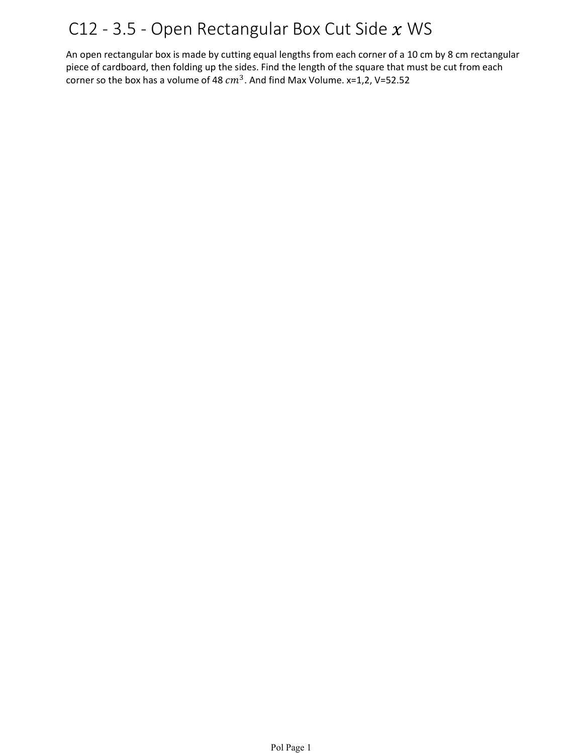## C12 - 3.5 - Open Rectangular Box Cut Side  $x$  WS

An open rectangular box is made by cutting equal lengths from each corner of a 10 cm by 8 cm rectangular piece of cardboard, then folding up the sides. Find the length of the square that must be cut from each corner so the box has a volume of 48  $cm^3$ . And find Max Volume. x=1,2, V=52.52